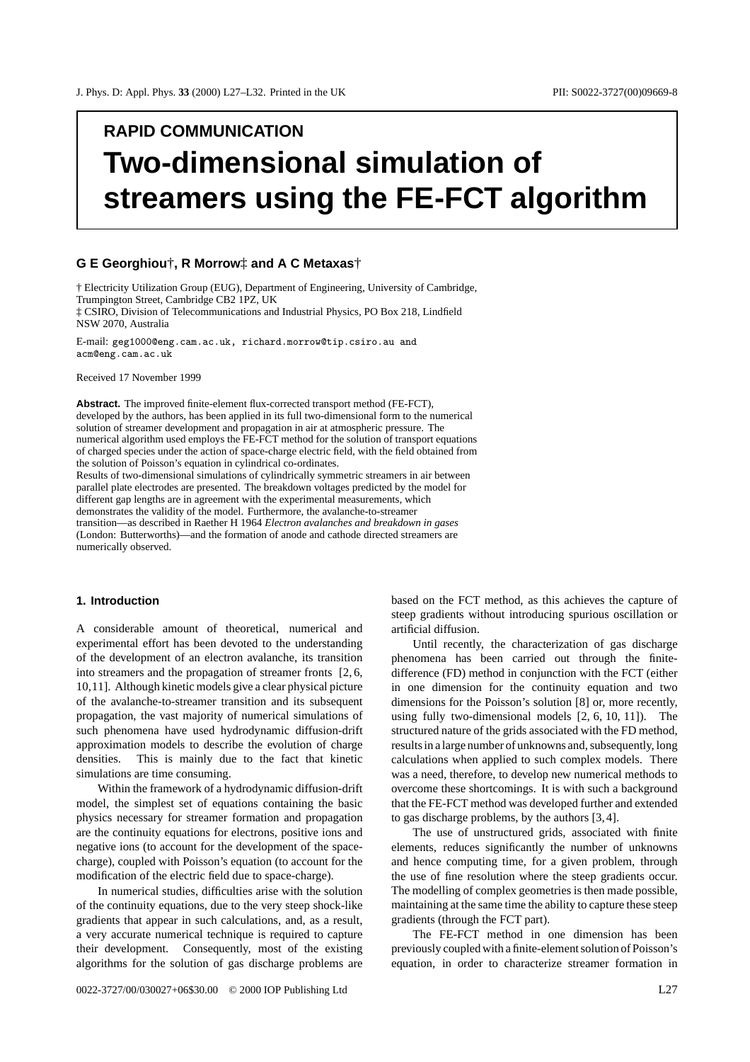# **RAPID COMMUNICATION Two-dimensional simulation of streamers using the FE-FCT algorithm**

# **G E Georghiou**†**, R Morrow**‡ **and A C Metaxas**†

† Electricity Utilization Group (EUG), Department of Engineering, University of Cambridge, Trumpington Street, Cambridge CB2 1PZ, UK ‡ CSIRO, Division of Telecommunications and Industrial Physics, PO Box 218, Lindfield NSW 2070, Australia

E-mail: geg1000@eng.cam.ac.uk, richard.morrow@tip.csiro.au and acm@eng.cam.ac.uk

Received 17 November 1999

**Abstract.** The improved finite-element flux-corrected transport method (FE-FCT), developed by the authors, has been applied in its full two-dimensional form to the numerical solution of streamer development and propagation in air at atmospheric pressure. The numerical algorithm used employs the FE-FCT method for the solution of transport equations of charged species under the action of space-charge electric field, with the field obtained from the solution of Poisson's equation in cylindrical co-ordinates. Results of two-dimensional simulations of cylindrically symmetric streamers in air between parallel plate electrodes are presented. The breakdown voltages predicted by the model for different gap lengths are in agreement with the experimental measurements, which demonstrates the validity of the model. Furthermore, the avalanche-to-streamer

transition—as described in Raether H 1964 *Electron avalanches and breakdown in gases* (London: Butterworths)—and the formation of anode and cathode directed streamers are numerically observed.

# **1. Introduction**

A considerable amount of theoretical, numerical and experimental effort has been devoted to the understanding of the development of an electron avalanche, its transition into streamers and the propagation of streamer fronts [2, 6, 10,11]. Although kinetic models give a clear physical picture of the avalanche-to-streamer transition and its subsequent propagation, the vast majority of numerical simulations of such phenomena have used hydrodynamic diffusion-drift approximation models to describe the evolution of charge densities. This is mainly due to the fact that kinetic simulations are time consuming.

Within the framework of a hydrodynamic diffusion-drift model, the simplest set of equations containing the basic physics necessary for streamer formation and propagation are the continuity equations for electrons, positive ions and negative ions (to account for the development of the spacecharge), coupled with Poisson's equation (to account for the modification of the electric field due to space-charge).

In numerical studies, difficulties arise with the solution of the continuity equations, due to the very steep shock-like gradients that appear in such calculations, and, as a result, a very accurate numerical technique is required to capture their development. Consequently, most of the existing algorithms for the solution of gas discharge problems are based on the FCT method, as this achieves the capture of steep gradients without introducing spurious oscillation or artificial diffusion.

Until recently, the characterization of gas discharge phenomena has been carried out through the finitedifference (FD) method in conjunction with the FCT (either in one dimension for the continuity equation and two dimensions for the Poisson's solution [8] or, more recently, using fully two-dimensional models [2, 6, 10, 11]). The structured nature of the grids associated with the FD method, results in a large number of unknowns and, subsequently, long calculations when applied to such complex models. There was a need, therefore, to develop new numerical methods to overcome these shortcomings. It is with such a background that the FE-FCT method was developed further and extended to gas discharge problems, by the authors [3, 4].

The use of unstructured grids, associated with finite elements, reduces significantly the number of unknowns and hence computing time, for a given problem, through the use of fine resolution where the steep gradients occur. The modelling of complex geometries is then made possible, maintaining at the same time the ability to capture these steep gradients (through the FCT part).

The FE-FCT method in one dimension has been previously coupled with a finite-element solution of Poisson's equation, in order to characterize streamer formation in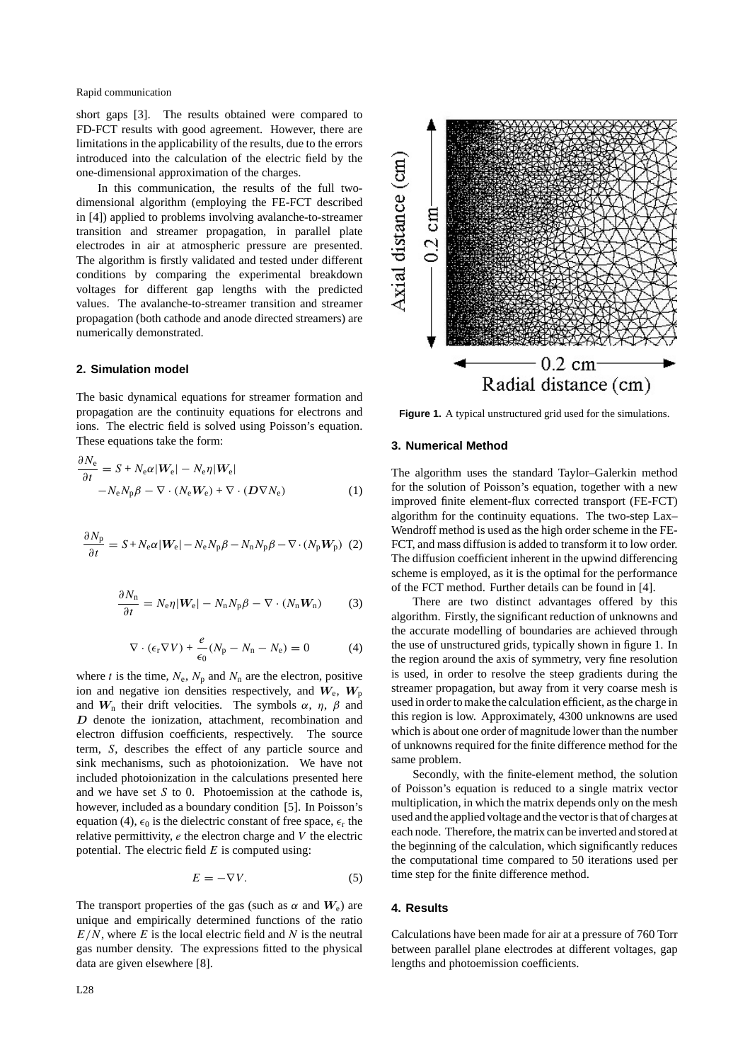short gaps [3]. The results obtained were compared to FD-FCT results with good agreement. However, there are limitations in the applicability of the results, due to the errors introduced into the calculation of the electric field by the one-dimensional approximation of the charges.

In this communication, the results of the full twodimensional algorithm (employing the FE-FCT described in [4]) applied to problems involving avalanche-to-streamer transition and streamer propagation, in parallel plate electrodes in air at atmospheric pressure are presented. The algorithm is firstly validated and tested under different conditions by comparing the experimental breakdown voltages for different gap lengths with the predicted values. The avalanche-to-streamer transition and streamer propagation (both cathode and anode directed streamers) are numerically demonstrated.

## **2. Simulation model**

The basic dynamical equations for streamer formation and propagation are the continuity equations for electrons and ions. The electric field is solved using Poisson's equation. These equations take the form:

$$
\frac{\partial N_{\rm e}}{\partial t} = S + N_{\rm e} \alpha |W_{\rm e}| - N_{\rm e} \eta |W_{\rm e}|
$$
  
-N\_{\rm e} N\_{\rm p} \beta - \nabla \cdot (N\_{\rm e} W\_{\rm e}) + \nabla \cdot (D \nabla N\_{\rm e}) (1)

$$
\frac{\partial N_{\rm p}}{\partial t} = S + N_{\rm e} \alpha |W_{\rm e}| - N_{\rm e} N_{\rm p} \beta - N_{\rm n} N_{\rm p} \beta - \nabla \cdot (N_{\rm p} W_{\rm p}) \tag{2}
$$

$$
\frac{\partial N_{\rm n}}{\partial t} = N_{\rm e} \eta |\mathbf{W}_{\rm e}| - N_{\rm n} N_{\rm p} \beta - \nabla \cdot (N_{\rm n} \mathbf{W}_{\rm n}) \tag{3}
$$

$$
\nabla \cdot (\epsilon_{\rm r} \nabla V) + \frac{e}{\epsilon_0} (N_{\rm p} - N_{\rm n} - N_{\rm e}) = 0 \tag{4}
$$

where *t* is the time,  $N_e$ ,  $N_p$  and  $N_n$  are the electron, positive ion and negative ion densities respectively, and  $W_e$ ,  $W_p$ and  $W_n$  their drift velocities. The symbols  $\alpha$ ,  $\eta$ ,  $\beta$  and *D* denote the ionization, attachment, recombination and electron diffusion coefficients, respectively. The source term, *S*, describes the effect of any particle source and sink mechanisms, such as photoionization. We have not included photoionization in the calculations presented here and we have set *S* to 0. Photoemission at the cathode is, however, included as a boundary condition [5]. In Poisson's equation (4),  $\epsilon_0$  is the dielectric constant of free space,  $\epsilon_r$  the relative permittivity, *e* the electron charge and *V* the electric potential. The electric field *E* is computed using:

$$
E = -\nabla V. \tag{5}
$$

The transport properties of the gas (such as  $\alpha$  and  $W_e$ ) are unique and empirically determined functions of the ratio *E/N*, where *E* is the local electric field and *N* is the neutral gas number density. The expressions fitted to the physical data are given elsewhere [8].



**Figure 1.** A typical unstructured grid used for the simulations.

### **3. Numerical Method**

The algorithm uses the standard Taylor–Galerkin method for the solution of Poisson's equation, together with a new improved finite element-flux corrected transport (FE-FCT) algorithm for the continuity equations. The two-step Lax– Wendroff method is used as the high order scheme in the FE-FCT, and mass diffusion is added to transform it to low order. The diffusion coefficient inherent in the upwind differencing scheme is employed, as it is the optimal for the performance of the FCT method. Further details can be found in [4].

There are two distinct advantages offered by this algorithm. Firstly, the significant reduction of unknowns and the accurate modelling of boundaries are achieved through the use of unstructured grids, typically shown in figure 1. In the region around the axis of symmetry, very fine resolution is used, in order to resolve the steep gradients during the streamer propagation, but away from it very coarse mesh is used in order to make the calculation efficient, as the charge in this region is low. Approximately, 4300 unknowns are used which is about one order of magnitude lower than the number of unknowns required for the finite difference method for the same problem.

Secondly, with the finite-element method, the solution of Poisson's equation is reduced to a single matrix vector multiplication, in which the matrix depends only on the mesh used and the applied voltage and the vector is that of charges at each node. Therefore, the matrix can be inverted and stored at the beginning of the calculation, which significantly reduces the computational time compared to 50 iterations used per time step for the finite difference method.

## **4. Results**

Calculations have been made for air at a pressure of 760 Torr between parallel plane electrodes at different voltages, gap lengths and photoemission coefficients.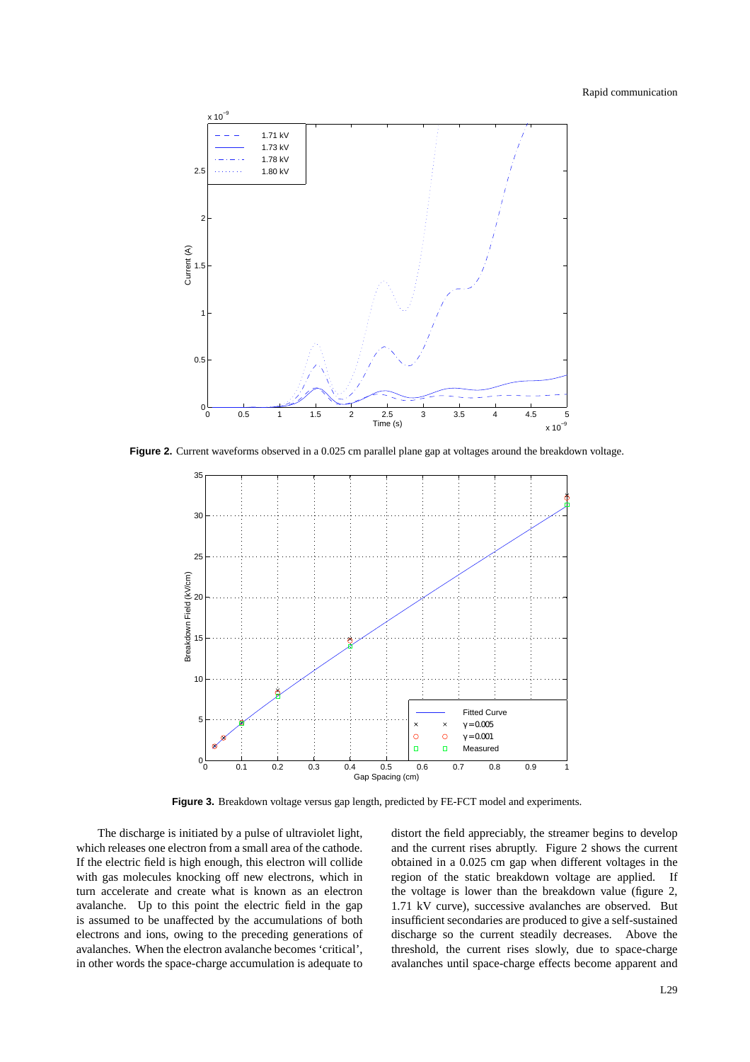

Figure 2. Current waveforms observed in a 0.025 cm parallel plane gap at voltages around the breakdown voltage.



Figure 3. Breakdown voltage versus gap length, predicted by FE-FCT model and experiments.

The discharge is initiated by a pulse of ultraviolet light, which releases one electron from a small area of the cathode. If the electric field is high enough, this electron will collide with gas molecules knocking off new electrons, which in turn accelerate and create what is known as an electron avalanche. Up to this point the electric field in the gap is assumed to be unaffected by the accumulations of both electrons and ions, owing to the preceding generations of avalanches. When the electron avalanche becomes 'critical', in other words the space-charge accumulation is adequate to

distort the field appreciably, the streamer begins to develop and the current rises abruptly. Figure 2 shows the current obtained in a 0.025 cm gap when different voltages in the region of the static breakdown voltage are applied. If the voltage is lower than the breakdown value (figure 2, 1.71 kV curve), successive avalanches are observed. But insufficient secondaries are produced to give a self-sustained discharge so the current steadily decreases. Above the threshold, the current rises slowly, due to space-charge avalanches until space-charge effects become apparent and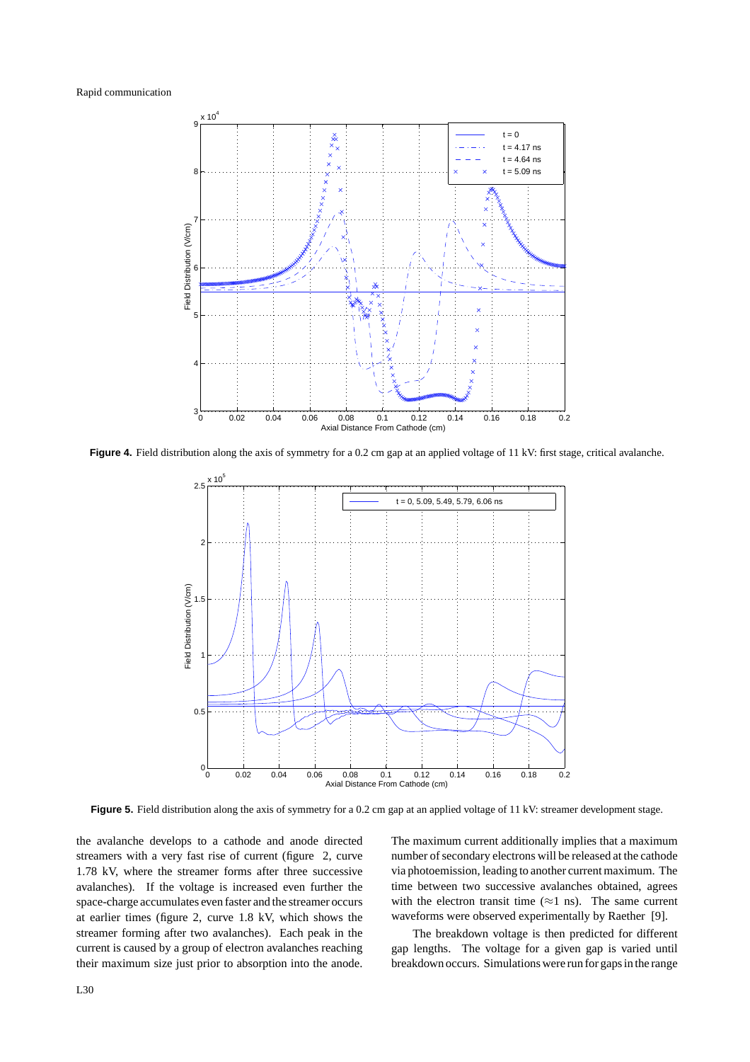

Figure 4. Field distribution along the axis of symmetry for a 0.2 cm gap at an applied voltage of 11 kV: first stage, critical avalanche.



**Figure 5.** Field distribution along the axis of symmetry for a 0.2 cm gap at an applied voltage of 11 kV: streamer development stage.

the avalanche develops to a cathode and anode directed streamers with a very fast rise of current (figure 2, curve 1.78 kV, where the streamer forms after three successive avalanches). If the voltage is increased even further the space-charge accumulates even faster and the streamer occurs at earlier times (figure 2, curve 1.8 kV, which shows the streamer forming after two avalanches). Each peak in the current is caused by a group of electron avalanches reaching their maximum size just prior to absorption into the anode. The maximum current additionally implies that a maximum number of secondary electrons will be released at the cathode via photoemission, leading to another current maximum. The time between two successive avalanches obtained, agrees with the electron transit time ( $\approx$ 1 ns). The same current waveforms were observed experimentally by Raether [9].

The breakdown voltage is then predicted for different gap lengths. The voltage for a given gap is varied until breakdown occurs. Simulations were run for gaps in the range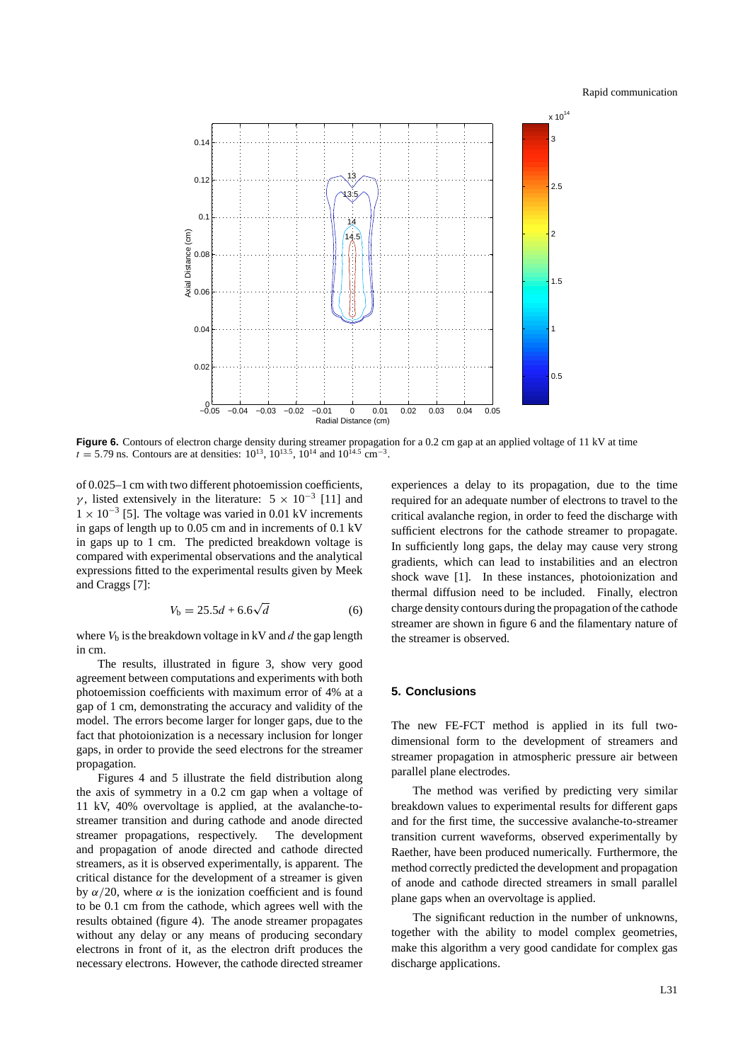

Figure 6. Contours of electron charge density during streamer propagation for a 0.2 cm gap at an applied voltage of 11 kV at time  $t = 5.79$  ns. Contours are at densities:  $10^{13}$ ,  $10^{13.5}$ ,  $10^{14}$  and  $10^{14.5}$  cm<sup>-3</sup>.

of 0.025–1 cm with two different photoemission coefficients, *γ*, listed extensively in the literature:  $5 \times 10^{-3}$  [11] and  $1 \times 10^{-3}$  [5]. The voltage was varied in 0.01 kV increments in gaps of length up to 0.05 cm and in increments of 0.1 kV in gaps up to 1 cm. The predicted breakdown voltage is compared with experimental observations and the analytical expressions fitted to the experimental results given by Meek and Craggs [7]:

$$
V_{\rm b} = 25.5d + 6.6\sqrt{d} \tag{6}
$$

where  $V<sub>b</sub>$  is the breakdown voltage in kV and  $d$  the gap length in cm.

The results, illustrated in figure 3, show very good agreement between computations and experiments with both photoemission coefficients with maximum error of 4% at a gap of 1 cm, demonstrating the accuracy and validity of the model. The errors become larger for longer gaps, due to the fact that photoionization is a necessary inclusion for longer gaps, in order to provide the seed electrons for the streamer propagation.

Figures 4 and 5 illustrate the field distribution along the axis of symmetry in a 0.2 cm gap when a voltage of 11 kV, 40% overvoltage is applied, at the avalanche-tostreamer transition and during cathode and anode directed streamer propagations, respectively. The development and propagation of anode directed and cathode directed streamers, as it is observed experimentally, is apparent. The critical distance for the development of a streamer is given by *α/*20, where *α* is the ionization coefficient and is found to be 0.1 cm from the cathode, which agrees well with the results obtained (figure 4). The anode streamer propagates without any delay or any means of producing secondary electrons in front of it, as the electron drift produces the necessary electrons. However, the cathode directed streamer experiences a delay to its propagation, due to the time required for an adequate number of electrons to travel to the critical avalanche region, in order to feed the discharge with sufficient electrons for the cathode streamer to propagate. In sufficiently long gaps, the delay may cause very strong gradients, which can lead to instabilities and an electron shock wave [1]. In these instances, photoionization and thermal diffusion need to be included. Finally, electron charge density contours during the propagation of the cathode streamer are shown in figure 6 and the filamentary nature of the streamer is observed.

# **5. Conclusions**

The new FE-FCT method is applied in its full twodimensional form to the development of streamers and streamer propagation in atmospheric pressure air between parallel plane electrodes.

The method was verified by predicting very similar breakdown values to experimental results for different gaps and for the first time, the successive avalanche-to-streamer transition current waveforms, observed experimentally by Raether, have been produced numerically. Furthermore, the method correctly predicted the development and propagation of anode and cathode directed streamers in small parallel plane gaps when an overvoltage is applied.

The significant reduction in the number of unknowns, together with the ability to model complex geometries, make this algorithm a very good candidate for complex gas discharge applications.